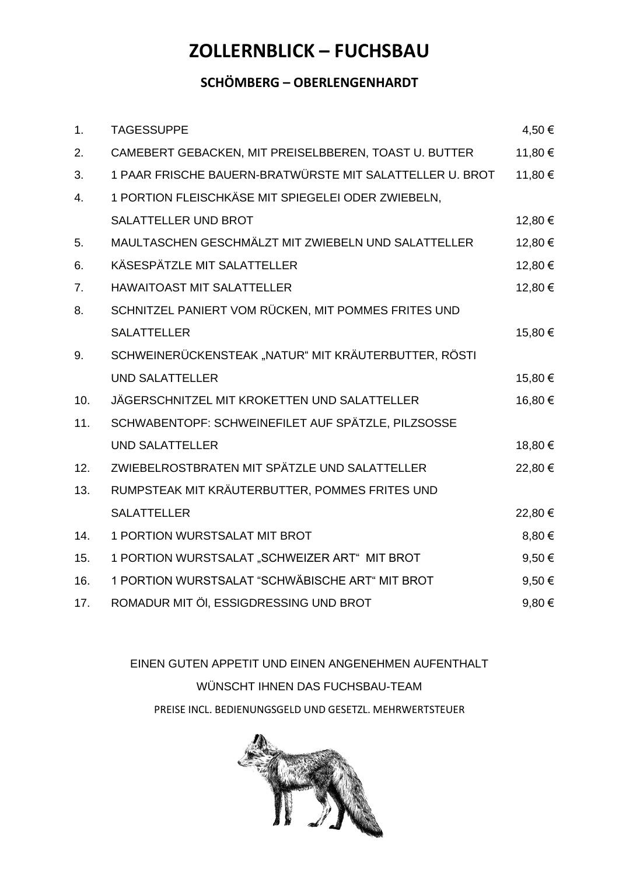### **SCHÖMBERG – OBERLENGENHARDT**

| 1.             | <b>TAGESSUPPE</b>                                        | 4,50€   |
|----------------|----------------------------------------------------------|---------|
| 2.             | CAMEBERT GEBACKEN, MIT PREISELBBEREN, TOAST U. BUTTER    | 11,80 € |
| 3.             | 1 PAAR FRISCHE BAUERN-BRATWÜRSTE MIT SALATTELLER U. BROT | 11,80 € |
| 4.             | 1 PORTION FLEISCHKÄSE MIT SPIEGELEI ODER ZWIEBELN,       |         |
|                | SALATTELLER UND BROT                                     | 12,80 € |
| 5.             | MAULTASCHEN GESCHMÄLZT MIT ZWIEBELN UND SALATTELLER      | 12,80€  |
| 6.             | KÄSESPÄTZLE MIT SALATTELLER                              | 12,80€  |
| 7 <sub>1</sub> | <b>HAWAITOAST MIT SALATTELLER</b>                        | 12,80 € |
| 8.             | SCHNITZEL PANIERT VOM RÜCKEN, MIT POMMES FRITES UND      |         |
|                | <b>SALATTELLER</b>                                       | 15,80€  |
| 9.             | SCHWEINERÜCKENSTEAK "NATUR" MIT KRÄUTERBUTTER, RÖSTI     |         |
|                | <b>UND SALATTELLER</b>                                   | 15,80€  |
| 10.            | JÄGERSCHNITZEL MIT KROKETTEN UND SALATTELLER             | 16,80€  |
| 11.            | SCHWABENTOPF: SCHWEINEFILET AUF SPÄTZLE, PILZSOSSE       |         |
|                | <b>UND SALATTELLER</b>                                   | 18,80€  |
| 12.            | ZWIEBELROSTBRATEN MIT SPÄTZLE UND SALATTELLER            | 22,80€  |
| 13.            | RUMPSTEAK MIT KRÄUTERBUTTER, POMMES FRITES UND           |         |
|                | <b>SALATTELLER</b>                                       | 22,80€  |
| 14.            | 1 PORTION WURSTSALAT MIT BROT                            | 8,80€   |
| 15.            | 1 PORTION WURSTSALAT "SCHWEIZER ART" MIT BROT            | 9,50€   |
| 16.            | 1 PORTION WURSTSALAT "SCHWÄBISCHE ART" MIT BROT          | 9,50€   |
| 17.            | ROMADUR MIT ÖI, ESSIGDRESSING UND BROT                   | 9,80€   |

EINEN GUTEN APPETIT UND EINEN ANGENEHMEN AUFENTHALT WÜNSCHT IHNEN DAS FUCHSBAU-TEAM PREISE INCL. BEDIENUNGSGELD UND GESETZL. MEHRWERTSTEUER

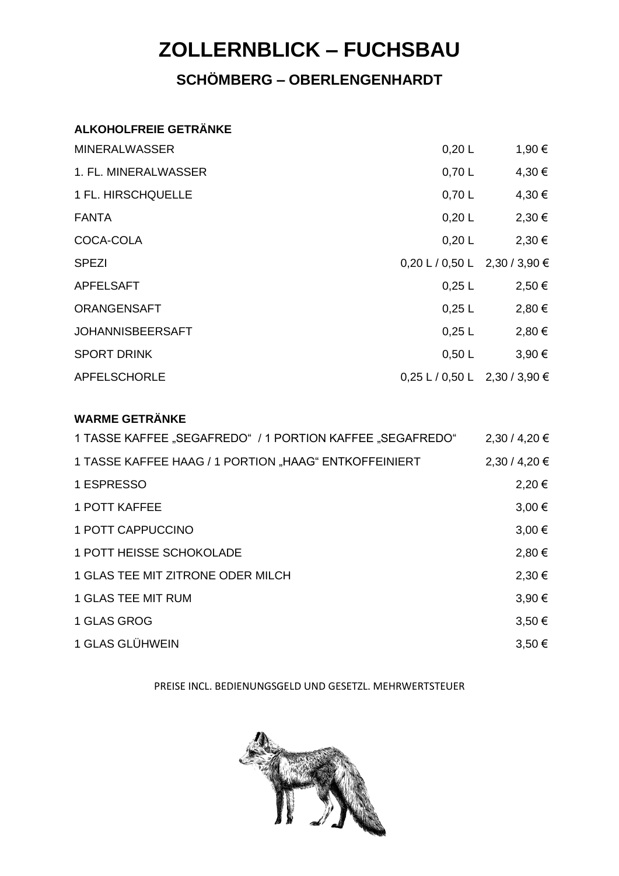## **SCHÖMBERG – OBERLENGENHARDT**

#### **ALKOHOLFREIE GETRÄNKE**

| <b>MINERALWASSER</b>    | 0,20 L                          | 1,90 € |
|-------------------------|---------------------------------|--------|
| 1. FL. MINERALWASSER    | 0,70 L                          | 4,30 € |
| 1 FL. HIRSCHQUELLE      | 0,70 L                          | 4,30 € |
| <b>FANTA</b>            | 0,20 L                          | 2,30 € |
| COCA-COLA               | 0,20 L                          | 2,30€  |
| <b>SPEZI</b>            | $0,20$ L / 0,50 L 2,30 / 3,90 € |        |
| <b>APFELSAFT</b>        | $0,25$ L                        | 2,50€  |
| <b>ORANGENSAFT</b>      | $0,25$ L                        | 2,80 € |
| <b>JOHANNISBEERSAFT</b> | $0,25$ L                        | 2,80 € |
| <b>SPORT DRINK</b>      | 0,50 L                          | 3,90 € |
| APFELSCHORLE            | $0,25$ L / 0,50 L 2,30 / 3,90 € |        |

#### **WARME GETRÄNKE**

| 1 TASSE KAFFEE "SEGAFREDO" / 1 PORTION KAFFEE "SEGAFREDO" | 2,30/4,20€ |
|-----------------------------------------------------------|------------|
| 1 TASSE KAFFEE HAAG / 1 PORTION "HAAG" ENTKOFFEINIERT     | 2,30/4,20€ |
| 1 ESPRESSO                                                | 2,20€      |
| 1 POTT KAFFEE                                             | $3,00 \in$ |
| 1 POTT CAPPUCCINO                                         | $3.00 \in$ |
| 1 POTT HEISSE SCHOKOLADE                                  | 2,80€      |
| 1 GLAS TEE MIT ZITRONE ODER MILCH                         | 2,30€      |
| 1 GLAS TEE MIT RUM                                        | 3,90 €     |
| 1 GLAS GROG                                               | 3,50€      |
| 1 GLAS GLÜHWEIN                                           | $3,50 \in$ |

#### PREISE INCL. BEDIENUNGSGELD UND GESETZL. MEHRWERTSTEUER

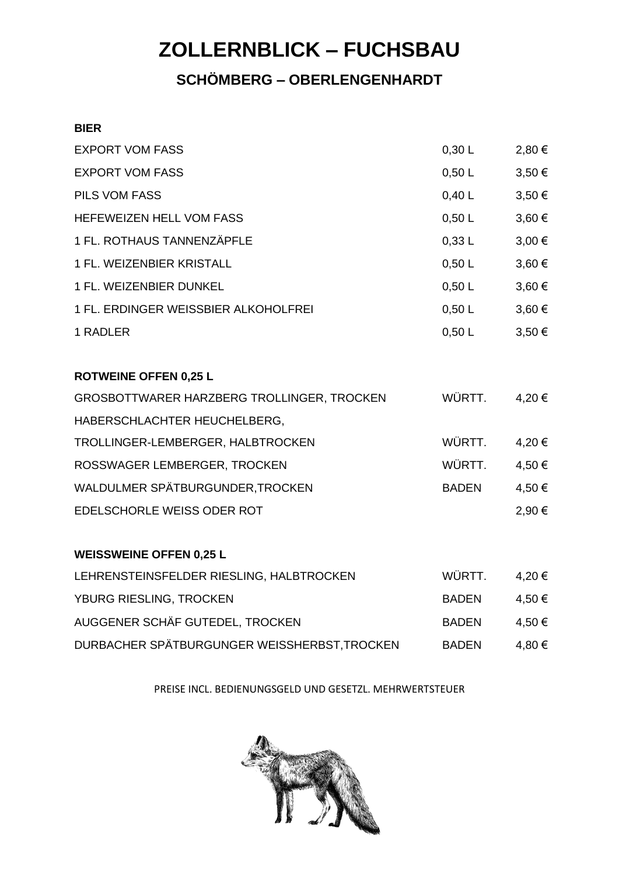## **SCHÖMBERG – OBERLENGENHARDT**

#### **BIER**

| <b>EXPORT VOM FASS</b>                     | 0,30 L       | 2,80 €     |
|--------------------------------------------|--------------|------------|
| <b>EXPORT VOM FASS</b>                     | 0,50 L       | $3,50 \in$ |
| <b>PILS VOM FASS</b>                       | 0,40 L       | 3,50 €     |
| HEFEWEIZEN HELL VOM FASS                   | 0,50 L       | 3,60 €     |
| 1 FL. ROTHAUS TANNENZÄPFLE                 | 0,33 L       | $3,00 \in$ |
| 1 FL. WEIZENBIER KRISTALL                  | 0,50 L       | 3,60 €     |
| 1 FL. WEIZENBIER DUNKEL                    | 0,50 L       | 3,60 €     |
| 1 FL. ERDINGER WEISSBIER ALKOHOLFREI       | 0,50 L       | 3,60 €     |
| 1 RADLER                                   | 0,50 L       | $3,50 \in$ |
| <b>ROTWEINE OFFEN 0,25 L</b>               |              |            |
| GROSBOTTWARER HARZBERG TROLLINGER, TROCKEN | WÜRTT.       | 4,20€      |
| HABERSCHLACHTER HEUCHELBERG,               |              |            |
| TROLLINGER-LEMBERGER, HALBTROCKEN          | WÜRTT.       | 4,20€      |
| ROSSWAGER LEMBERGER, TROCKEN               | WÜRTT.       | 4,50 €     |
| WALDULMER SPÄTBURGUNDER, TROCKEN           | <b>BADEN</b> | 4,50 €     |
| EDELSCHORLE WEISS ODER ROT                 |              | 2,90€      |
| <b>WEISSWEINE OFFEN 0,25 L</b>             |              |            |
| LEHRENSTEINSFELDER RIESLING, HALBTROCKEN   | WÜRTT.       | 4,20 €     |
| YBURG RIESLING, TROCKEN                    | BADEN        | 4,50 €     |

| י ושטולט ולובטבוויט, וולטטולבוי              | יישרש        | ט טייד |
|----------------------------------------------|--------------|--------|
| AUGGENER SCHÄF GUTEDEL, TROCKEN              | BADEN        | 4,50 € |
| DURBACHER SPÄTBURGUNGER WEISSHERBST, TROCKEN | <b>BADEN</b> | 4,80 € |

PREISE INCL. BEDIENUNGSGELD UND GESETZL. MEHRWERTSTEUER